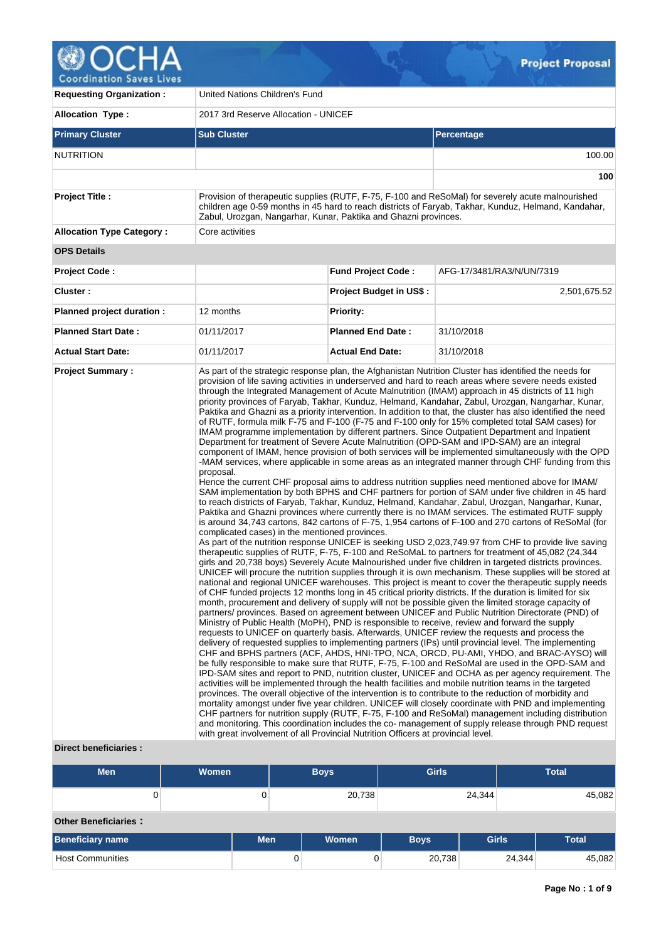

| <b>Requesting Organization:</b>  | United Nations Children's Fund                                                                                                                  |                                                                                                                                                                                                                                                                              |                                                                                                                                                                                                                                                                                                                                                                                                                                                                                                                                                                                                                                                                                                                                                                                                                                                                                                                                                                                                                                                                                                                                                                                                                                                                                                                                                                                                                                                                                                                                                                                                                                                                                                                                                                                                                                                                                                                                                                                                                                                                                                                                                                                                                                                                                                                                                                                                                                                                                                                                                                                                                                                                                                                                                                                                                                                                                                                                                                                                                                                                                                                                                                                                                                                                                                                                                                                                                                                                                                                                                                                                                                  |  |  |  |  |  |
|----------------------------------|-------------------------------------------------------------------------------------------------------------------------------------------------|------------------------------------------------------------------------------------------------------------------------------------------------------------------------------------------------------------------------------------------------------------------------------|----------------------------------------------------------------------------------------------------------------------------------------------------------------------------------------------------------------------------------------------------------------------------------------------------------------------------------------------------------------------------------------------------------------------------------------------------------------------------------------------------------------------------------------------------------------------------------------------------------------------------------------------------------------------------------------------------------------------------------------------------------------------------------------------------------------------------------------------------------------------------------------------------------------------------------------------------------------------------------------------------------------------------------------------------------------------------------------------------------------------------------------------------------------------------------------------------------------------------------------------------------------------------------------------------------------------------------------------------------------------------------------------------------------------------------------------------------------------------------------------------------------------------------------------------------------------------------------------------------------------------------------------------------------------------------------------------------------------------------------------------------------------------------------------------------------------------------------------------------------------------------------------------------------------------------------------------------------------------------------------------------------------------------------------------------------------------------------------------------------------------------------------------------------------------------------------------------------------------------------------------------------------------------------------------------------------------------------------------------------------------------------------------------------------------------------------------------------------------------------------------------------------------------------------------------------------------------------------------------------------------------------------------------------------------------------------------------------------------------------------------------------------------------------------------------------------------------------------------------------------------------------------------------------------------------------------------------------------------------------------------------------------------------------------------------------------------------------------------------------------------------------------------------------------------------------------------------------------------------------------------------------------------------------------------------------------------------------------------------------------------------------------------------------------------------------------------------------------------------------------------------------------------------------------------------------------------------------------------------------------------------|--|--|--|--|--|
| <b>Allocation Type:</b>          | 2017 3rd Reserve Allocation - UNICEF                                                                                                            |                                                                                                                                                                                                                                                                              |                                                                                                                                                                                                                                                                                                                                                                                                                                                                                                                                                                                                                                                                                                                                                                                                                                                                                                                                                                                                                                                                                                                                                                                                                                                                                                                                                                                                                                                                                                                                                                                                                                                                                                                                                                                                                                                                                                                                                                                                                                                                                                                                                                                                                                                                                                                                                                                                                                                                                                                                                                                                                                                                                                                                                                                                                                                                                                                                                                                                                                                                                                                                                                                                                                                                                                                                                                                                                                                                                                                                                                                                                                  |  |  |  |  |  |
| <b>Primary Cluster</b>           | <b>Sub Cluster</b>                                                                                                                              |                                                                                                                                                                                                                                                                              | Percentage                                                                                                                                                                                                                                                                                                                                                                                                                                                                                                                                                                                                                                                                                                                                                                                                                                                                                                                                                                                                                                                                                                                                                                                                                                                                                                                                                                                                                                                                                                                                                                                                                                                                                                                                                                                                                                                                                                                                                                                                                                                                                                                                                                                                                                                                                                                                                                                                                                                                                                                                                                                                                                                                                                                                                                                                                                                                                                                                                                                                                                                                                                                                                                                                                                                                                                                                                                                                                                                                                                                                                                                                                       |  |  |  |  |  |
| <b>NUTRITION</b>                 |                                                                                                                                                 |                                                                                                                                                                                                                                                                              | 100.00                                                                                                                                                                                                                                                                                                                                                                                                                                                                                                                                                                                                                                                                                                                                                                                                                                                                                                                                                                                                                                                                                                                                                                                                                                                                                                                                                                                                                                                                                                                                                                                                                                                                                                                                                                                                                                                                                                                                                                                                                                                                                                                                                                                                                                                                                                                                                                                                                                                                                                                                                                                                                                                                                                                                                                                                                                                                                                                                                                                                                                                                                                                                                                                                                                                                                                                                                                                                                                                                                                                                                                                                                           |  |  |  |  |  |
|                                  |                                                                                                                                                 |                                                                                                                                                                                                                                                                              | 100                                                                                                                                                                                                                                                                                                                                                                                                                                                                                                                                                                                                                                                                                                                                                                                                                                                                                                                                                                                                                                                                                                                                                                                                                                                                                                                                                                                                                                                                                                                                                                                                                                                                                                                                                                                                                                                                                                                                                                                                                                                                                                                                                                                                                                                                                                                                                                                                                                                                                                                                                                                                                                                                                                                                                                                                                                                                                                                                                                                                                                                                                                                                                                                                                                                                                                                                                                                                                                                                                                                                                                                                                              |  |  |  |  |  |
| <b>Project Title:</b>            |                                                                                                                                                 | Provision of therapeutic supplies (RUTF, F-75, F-100 and ReSoMal) for severely acute malnourished<br>children age 0-59 months in 45 hard to reach districts of Faryab, Takhar, Kunduz, Helmand, Kandahar,<br>Zabul, Urozgan, Nangarhar, Kunar, Paktika and Ghazni provinces. |                                                                                                                                                                                                                                                                                                                                                                                                                                                                                                                                                                                                                                                                                                                                                                                                                                                                                                                                                                                                                                                                                                                                                                                                                                                                                                                                                                                                                                                                                                                                                                                                                                                                                                                                                                                                                                                                                                                                                                                                                                                                                                                                                                                                                                                                                                                                                                                                                                                                                                                                                                                                                                                                                                                                                                                                                                                                                                                                                                                                                                                                                                                                                                                                                                                                                                                                                                                                                                                                                                                                                                                                                                  |  |  |  |  |  |
| <b>Allocation Type Category:</b> | Core activities                                                                                                                                 |                                                                                                                                                                                                                                                                              |                                                                                                                                                                                                                                                                                                                                                                                                                                                                                                                                                                                                                                                                                                                                                                                                                                                                                                                                                                                                                                                                                                                                                                                                                                                                                                                                                                                                                                                                                                                                                                                                                                                                                                                                                                                                                                                                                                                                                                                                                                                                                                                                                                                                                                                                                                                                                                                                                                                                                                                                                                                                                                                                                                                                                                                                                                                                                                                                                                                                                                                                                                                                                                                                                                                                                                                                                                                                                                                                                                                                                                                                                                  |  |  |  |  |  |
| <b>OPS Details</b>               |                                                                                                                                                 |                                                                                                                                                                                                                                                                              |                                                                                                                                                                                                                                                                                                                                                                                                                                                                                                                                                                                                                                                                                                                                                                                                                                                                                                                                                                                                                                                                                                                                                                                                                                                                                                                                                                                                                                                                                                                                                                                                                                                                                                                                                                                                                                                                                                                                                                                                                                                                                                                                                                                                                                                                                                                                                                                                                                                                                                                                                                                                                                                                                                                                                                                                                                                                                                                                                                                                                                                                                                                                                                                                                                                                                                                                                                                                                                                                                                                                                                                                                                  |  |  |  |  |  |
| <b>Project Code:</b>             |                                                                                                                                                 | <b>Fund Project Code:</b>                                                                                                                                                                                                                                                    | AFG-17/3481/RA3/N/UN/7319                                                                                                                                                                                                                                                                                                                                                                                                                                                                                                                                                                                                                                                                                                                                                                                                                                                                                                                                                                                                                                                                                                                                                                                                                                                                                                                                                                                                                                                                                                                                                                                                                                                                                                                                                                                                                                                                                                                                                                                                                                                                                                                                                                                                                                                                                                                                                                                                                                                                                                                                                                                                                                                                                                                                                                                                                                                                                                                                                                                                                                                                                                                                                                                                                                                                                                                                                                                                                                                                                                                                                                                                        |  |  |  |  |  |
| Cluster:                         |                                                                                                                                                 | <b>Project Budget in US\$:</b>                                                                                                                                                                                                                                               | 2,501,675.52                                                                                                                                                                                                                                                                                                                                                                                                                                                                                                                                                                                                                                                                                                                                                                                                                                                                                                                                                                                                                                                                                                                                                                                                                                                                                                                                                                                                                                                                                                                                                                                                                                                                                                                                                                                                                                                                                                                                                                                                                                                                                                                                                                                                                                                                                                                                                                                                                                                                                                                                                                                                                                                                                                                                                                                                                                                                                                                                                                                                                                                                                                                                                                                                                                                                                                                                                                                                                                                                                                                                                                                                                     |  |  |  |  |  |
| Planned project duration :       | 12 months                                                                                                                                       | <b>Priority:</b>                                                                                                                                                                                                                                                             |                                                                                                                                                                                                                                                                                                                                                                                                                                                                                                                                                                                                                                                                                                                                                                                                                                                                                                                                                                                                                                                                                                                                                                                                                                                                                                                                                                                                                                                                                                                                                                                                                                                                                                                                                                                                                                                                                                                                                                                                                                                                                                                                                                                                                                                                                                                                                                                                                                                                                                                                                                                                                                                                                                                                                                                                                                                                                                                                                                                                                                                                                                                                                                                                                                                                                                                                                                                                                                                                                                                                                                                                                                  |  |  |  |  |  |
| <b>Planned Start Date:</b>       | 01/11/2017                                                                                                                                      | <b>Planned End Date:</b>                                                                                                                                                                                                                                                     | 31/10/2018                                                                                                                                                                                                                                                                                                                                                                                                                                                                                                                                                                                                                                                                                                                                                                                                                                                                                                                                                                                                                                                                                                                                                                                                                                                                                                                                                                                                                                                                                                                                                                                                                                                                                                                                                                                                                                                                                                                                                                                                                                                                                                                                                                                                                                                                                                                                                                                                                                                                                                                                                                                                                                                                                                                                                                                                                                                                                                                                                                                                                                                                                                                                                                                                                                                                                                                                                                                                                                                                                                                                                                                                                       |  |  |  |  |  |
| <b>Actual Start Date:</b>        | 01/11/2017                                                                                                                                      | <b>Actual End Date:</b>                                                                                                                                                                                                                                                      | 31/10/2018                                                                                                                                                                                                                                                                                                                                                                                                                                                                                                                                                                                                                                                                                                                                                                                                                                                                                                                                                                                                                                                                                                                                                                                                                                                                                                                                                                                                                                                                                                                                                                                                                                                                                                                                                                                                                                                                                                                                                                                                                                                                                                                                                                                                                                                                                                                                                                                                                                                                                                                                                                                                                                                                                                                                                                                                                                                                                                                                                                                                                                                                                                                                                                                                                                                                                                                                                                                                                                                                                                                                                                                                                       |  |  |  |  |  |
| <b>Project Summary:</b>          | proposal.<br>complicated cases) in the mentioned provinces.<br>with great involvement of all Provincial Nutrition Officers at provincial level. |                                                                                                                                                                                                                                                                              | As part of the strategic response plan, the Afghanistan Nutrition Cluster has identified the needs for<br>provision of life saving activities in underserved and hard to reach areas where severe needs existed<br>through the Integrated Management of Acute Malnutrition (IMAM) approach in 45 districts of 11 high<br>priority provinces of Faryab, Takhar, Kunduz, Helmand, Kandahar, Zabul, Urozgan, Nangarhar, Kunar,<br>Paktika and Ghazni as a priority intervention. In addition to that, the cluster has also identified the need<br>of RUTF, formula milk F-75 and F-100 (F-75 and F-100 only for 15% completed total SAM cases) for<br>IMAM programme implementation by different partners. Since Outpatient Department and Inpatient<br>Department for treatment of Severe Acute Malnutrition (OPD-SAM and IPD-SAM) are an integral<br>component of IMAM, hence provision of both services will be implemented simultaneously with the OPD<br>-MAM services, where applicable in some areas as an integrated manner through CHF funding from this<br>Hence the current CHF proposal aims to address nutrition supplies need mentioned above for IMAM/<br>SAM implementation by both BPHS and CHF partners for portion of SAM under five children in 45 hard<br>to reach districts of Faryab, Takhar, Kunduz, Helmand, Kandahar, Zabul, Urozgan, Nangarhar, Kunar,<br>Paktika and Ghazni provinces where currently there is no IMAM services. The estimated RUTF supply<br>is around 34,743 cartons, 842 cartons of F-75, 1,954 cartons of F-100 and 270 cartons of ReSoMal (for<br>As part of the nutrition response UNICEF is seeking USD 2,023,749.97 from CHF to provide live saving<br>therapeutic supplies of RUTF, F-75, F-100 and ReSoMaL to partners for treatment of 45,082 (24,344<br>girls and 20,738 boys) Severely Acute Malnourished under five children in targeted districts provinces.<br>UNICEF will procure the nutrition supplies through it is own mechanism. These supplies will be stored at<br>national and regional UNICEF warehouses. This project is meant to cover the therapeutic supply needs<br>of CHF funded projects 12 months long in 45 critical priority districts. If the duration is limited for six<br>month, procurement and delivery of supply will not be possible given the limited storage capacity of<br>partners/ provinces. Based on agreement between UNICEF and Public Nutrition Directorate (PND) of<br>Ministry of Public Health (MoPH), PND is responsible to receive, review and forward the supply<br>requests to UNICEF on quarterly basis. Afterwards, UNICEF review the requests and process the<br>delivery of requested supplies to implementing partners (IPs) until provincial level. The implementing<br>CHF and BPHS partners (ACF, AHDS, HNI-TPO, NCA, ORCD, PU-AMI, YHDO, and BRAC-AYSO) will<br>be fully responsible to make sure that RUTF, F-75, F-100 and ReSoMal are used in the OPD-SAM and<br>IPD-SAM sites and report to PND, nutrition cluster, UNICEF and OCHA as per agency requirement. The<br>activities will be implemented through the health facilities and mobile nutrition teams in the targeted<br>provinces. The overall objective of the intervention is to contribute to the reduction of morbidity and<br>mortality amongst under five year children. UNICEF will closely coordinate with PND and implementing<br>CHF partners for nutrition supply (RUTF, F-75, F-100 and ReSoMal) management including distribution<br>and monitoring. This coordination includes the co-management of supply release through PND request |  |  |  |  |  |

# **Direct beneficiaries :**

| <b>Men</b>                  | Women |            | <b>Boys</b> | <b>Girls</b> |              | <b>Total</b> |  |  |
|-----------------------------|-------|------------|-------------|--------------|--------------|--------------|--|--|
|                             |       | 0          | 20,738      |              | 24,344       | 45,082       |  |  |
| <b>Other Beneficiaries:</b> |       |            |             |              |              |              |  |  |
| Beneficiary name            |       | <b>Men</b> | Women       | <b>Boys</b>  | <b>Girls</b> | <b>Total</b> |  |  |
| <b>Host Communities</b>     |       | 0          | 0           | 20,738       | 24,344       | 45,082       |  |  |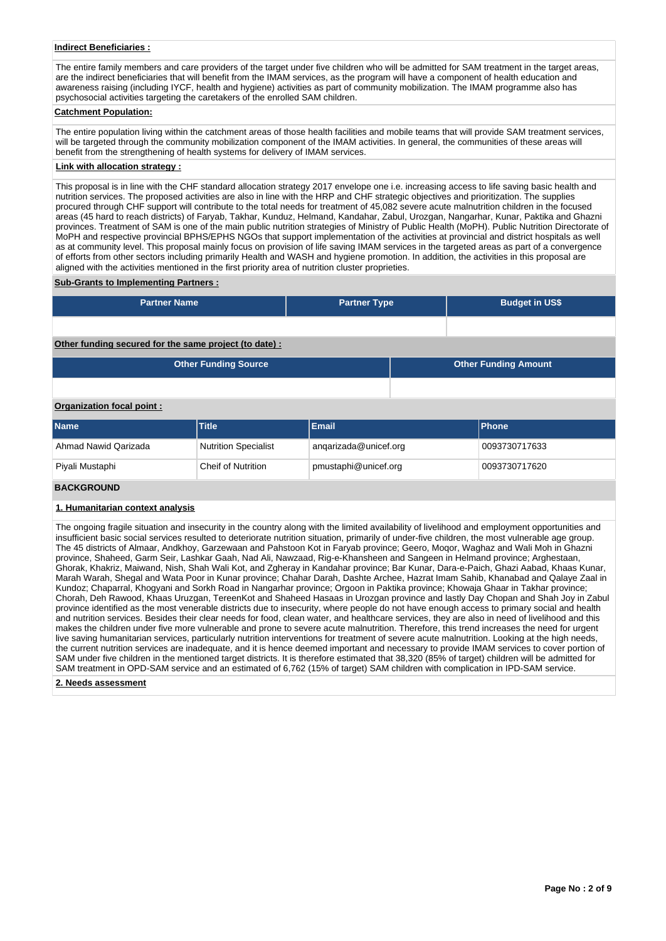## **Indirect Beneficiaries :**

The entire family members and care providers of the target under five children who will be admitted for SAM treatment in the target areas, are the indirect beneficiaries that will benefit from the IMAM services, as the program will have a component of health education and awareness raising (including IYCF, health and hygiene) activities as part of community mobilization. The IMAM programme also has psychosocial activities targeting the caretakers of the enrolled SAM children.

#### **Catchment Population:**

The entire population living within the catchment areas of those health facilities and mobile teams that will provide SAM treatment services, will be targeted through the community mobilization component of the IMAM activities. In general, the communities of these areas will benefit from the strengthening of health systems for delivery of IMAM services.

## **Link with allocation strategy :**

This proposal is in line with the CHF standard allocation strategy 2017 envelope one i.e. increasing access to life saving basic health and nutrition services. The proposed activities are also in line with the HRP and CHF strategic objectives and prioritization. The supplies procured through CHF support will contribute to the total needs for treatment of 45,082 severe acute malnutrition children in the focused areas (45 hard to reach districts) of Faryab, Takhar, Kunduz, Helmand, Kandahar, Zabul, Urozgan, Nangarhar, Kunar, Paktika and Ghazni provinces. Treatment of SAM is one of the main public nutrition strategies of Ministry of Public Health (MoPH). Public Nutrition Directorate of MoPH and respective provincial BPHS/EPHS NGOs that support implementation of the activities at provincial and district hospitals as well as at community level. This proposal mainly focus on provision of life saving IMAM services in the targeted areas as part of a convergence of efforts from other sectors including primarily Health and WASH and hygiene promotion. In addition, the activities in this proposal are aligned with the activities mentioned in the first priority area of nutrition cluster proprieties.

#### **Sub-Grants to Implementing Partners :**

| <b>Partner Name</b> | <b>Partner Type</b> | <b>Budget in US\$</b> |
|---------------------|---------------------|-----------------------|
|                     |                     |                       |

# **Other funding secured for the same project (to date) :**

| <b>Other Funding Source</b> | <b>Other Funding Amount</b> |
|-----------------------------|-----------------------------|
|                             |                             |

### **Organization focal point :**

| <b>Name</b>          | <b>Title</b>                                      | Email                 | <b>IPhone</b> |
|----------------------|---------------------------------------------------|-----------------------|---------------|
| Ahmad Nawid Qarizada | <b>Nutrition Specialist</b>                       | angarizada@unicef.org | 0093730717633 |
| Piyali Mustaphi      | pmustaphi@unicef.org<br><b>Cheif of Nutrition</b> |                       | 0093730717620 |
|                      |                                                   |                       |               |

# **BACKGROUND**

### **1. Humanitarian context analysis**

The ongoing fragile situation and insecurity in the country along with the limited availability of livelihood and employment opportunities and insufficient basic social services resulted to deteriorate nutrition situation, primarily of under-five children, the most vulnerable age group. The 45 districts of Almaar, Andkhoy, Garzewaan and Pahstoon Kot in Faryab province; Geero, Moqor, Waghaz and Wali Moh in Ghazni province, Shaheed, Garm Seir, Lashkar Gaah, Nad Ali, Nawzaad, Rig-e-Khansheen and Sangeen in Helmand province; Arghestaan, Ghorak, Khakriz, Maiwand, Nish, Shah Wali Kot, and Zgheray in Kandahar province; Bar Kunar, Dara-e-Paich, Ghazi Aabad, Khaas Kunar, Marah Warah, Shegal and Wata Poor in Kunar province; Chahar Darah, Dashte Archee, Hazrat Imam Sahib, Khanabad and Qalaye Zaal in Kundoz; Chaparral, Khogyani and Sorkh Road in Nangarhar province; Orgoon in Paktika province; Khowaja Ghaar in Takhar province; Chorah, Deh Rawood, Khaas Uruzgan, TereenKot and Shaheed Hasaas in Urozgan province and lastly Day Chopan and Shah Joy in Zabul province identified as the most venerable districts due to insecurity, where people do not have enough access to primary social and health and nutrition services. Besides their clear needs for food, clean water, and healthcare services, they are also in need of livelihood and this makes the children under five more vulnerable and prone to severe acute malnutrition. Therefore, this trend increases the need for urgent live saving humanitarian services, particularly nutrition interventions for treatment of severe acute malnutrition. Looking at the high needs, the current nutrition services are inadequate, and it is hence deemed important and necessary to provide IMAM services to cover portion of SAM under five children in the mentioned target districts. It is therefore estimated that 38,320 (85% of target) children will be admitted for SAM treatment in OPD-SAM service and an estimated of 6,762 (15% of target) SAM children with complication in IPD-SAM service.

#### **2. Needs assessment**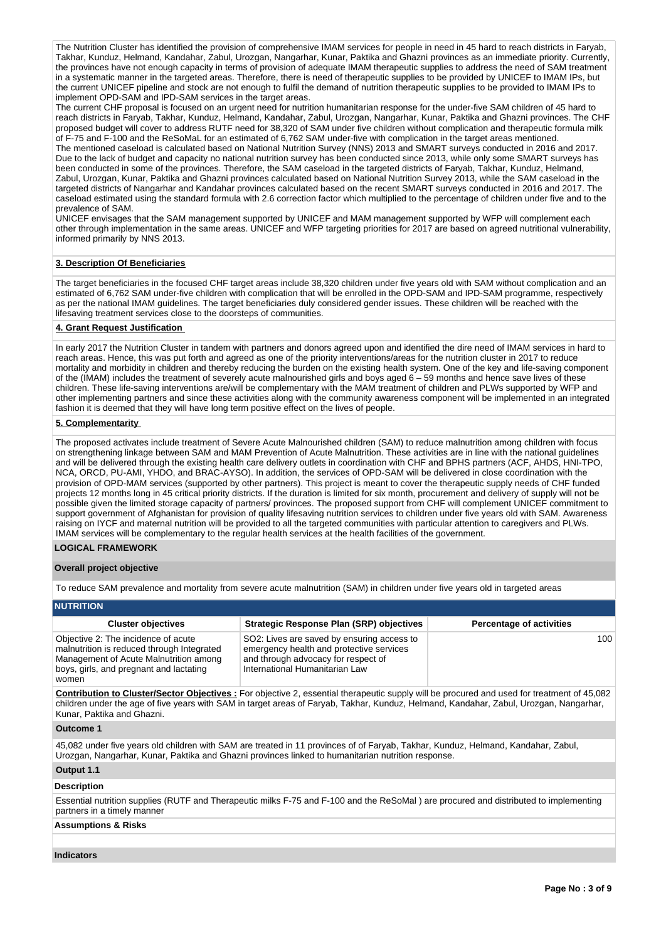The Nutrition Cluster has identified the provision of comprehensive IMAM services for people in need in 45 hard to reach districts in Faryab, Takhar, Kunduz, Helmand, Kandahar, Zabul, Urozgan, Nangarhar, Kunar, Paktika and Ghazni provinces as an immediate priority. Currently, the provinces have not enough capacity in terms of provision of adequate IMAM therapeutic supplies to address the need of SAM treatment in a systematic manner in the targeted areas. Therefore, there is need of therapeutic supplies to be provided by UNICEF to IMAM IPs, but the current UNICEF pipeline and stock are not enough to fulfil the demand of nutrition therapeutic supplies to be provided to IMAM IPs to implement OPD-SAM and IPD-SAM services in the target areas.

The current CHF proposal is focused on an urgent need for nutrition humanitarian response for the under-five SAM children of 45 hard to reach districts in Faryab, Takhar, Kunduz, Helmand, Kandahar, Zabul, Urozgan, Nangarhar, Kunar, Paktika and Ghazni provinces. The CHF proposed budget will cover to address RUTF need for 38,320 of SAM under five children without complication and therapeutic formula milk of F-75 and F-100 and the ReSoMaL for an estimated of 6,762 SAM under-five with complication in the target areas mentioned.

The mentioned caseload is calculated based on National Nutrition Survey (NNS) 2013 and SMART surveys conducted in 2016 and 2017. Due to the lack of budget and capacity no national nutrition survey has been conducted since 2013, while only some SMART surveys has been conducted in some of the provinces. Therefore, the SAM caseload in the targeted districts of Faryab, Takhar, Kunduz, Helmand, Zabul, Urozgan, Kunar, Paktika and Ghazni provinces calculated based on National Nutrition Survey 2013, while the SAM caseload in the targeted districts of Nangarhar and Kandahar provinces calculated based on the recent SMART surveys conducted in 2016 and 2017. The caseload estimated using the standard formula with 2.6 correction factor which multiplied to the percentage of children under five and to the prevalence of SAM.

UNICEF envisages that the SAM management supported by UNICEF and MAM management supported by WFP will complement each other through implementation in the same areas. UNICEF and WFP targeting priorities for 2017 are based on agreed nutritional vulnerability, informed primarily by NNS 2013.

# **3. Description Of Beneficiaries**

The target beneficiaries in the focused CHF target areas include 38,320 children under five years old with SAM without complication and an estimated of 6,762 SAM under-five children with complication that will be enrolled in the OPD-SAM and IPD-SAM programme, respectively as per the national IMAM guidelines. The target beneficiaries duly considered gender issues. These children will be reached with the lifesaving treatment services close to the doorsteps of communities.

### **4. Grant Request Justification**

In early 2017 the Nutrition Cluster in tandem with partners and donors agreed upon and identified the dire need of IMAM services in hard to reach areas. Hence, this was put forth and agreed as one of the priority interventions/areas for the nutrition cluster in 2017 to reduce mortality and morbidity in children and thereby reducing the burden on the existing health system. One of the key and life-saving component of the (IMAM) includes the treatment of severely acute malnourished girls and boys aged 6 – 59 months and hence save lives of these children. These life-saving interventions are/will be complementary with the MAM treatment of children and PLWs supported by WFP and other implementing partners and since these activities along with the community awareness component will be implemented in an integrated fashion it is deemed that they will have long term positive effect on the lives of people.

#### **5. Complementarity**

The proposed activates include treatment of Severe Acute Malnourished children (SAM) to reduce malnutrition among children with focus on strengthening linkage between SAM and MAM Prevention of Acute Malnutrition. These activities are in line with the national guidelines and will be delivered through the existing health care delivery outlets in coordination with CHF and BPHS partners (ACF, AHDS, HNI-TPO, NCA, ORCD, PU-AMI, YHDO, and BRAC-AYSO). In addition, the services of OPD-SAM will be delivered in close coordination with the provision of OPD-MAM services (supported by other partners). This project is meant to cover the therapeutic supply needs of CHF funded projects 12 months long in 45 critical priority districts. If the duration is limited for six month, procurement and delivery of supply will not be possible given the limited storage capacity of partners/ provinces. The proposed support from CHF will complement UNICEF commitment to support government of Afghanistan for provision of quality lifesaving nutrition services to children under five years old with SAM. Awareness raising on IYCF and maternal nutrition will be provided to all the targeted communities with particular attention to caregivers and PLWs. IMAM services will be complementary to the regular health services at the health facilities of the government.

# **LOGICAL FRAMEWORK**

#### **Overall project objective**

To reduce SAM prevalence and mortality from severe acute malnutrition (SAM) in children under five years old in targeted areas

| <b>NUTRITION</b>                                                                                                                                                                |                                                                                                                                                                 |                                 |  |  |  |  |  |  |  |  |
|---------------------------------------------------------------------------------------------------------------------------------------------------------------------------------|-----------------------------------------------------------------------------------------------------------------------------------------------------------------|---------------------------------|--|--|--|--|--|--|--|--|
| <b>Cluster objectives</b>                                                                                                                                                       | <b>Strategic Response Plan (SRP) objectives</b>                                                                                                                 | <b>Percentage of activities</b> |  |  |  |  |  |  |  |  |
| Objective 2: The incidence of acute<br>malnutrition is reduced through Integrated<br>Management of Acute Malnutrition among<br>boys, girls, and pregnant and lactating<br>women | SO2: Lives are saved by ensuring access to<br>emergency health and protective services<br>and through advocacy for respect of<br>International Humanitarian Law | 100                             |  |  |  |  |  |  |  |  |

**Contribution to Cluster/Sector Objectives :** For objective 2, essential therapeutic supply will be procured and used for treatment of 45,082 children under the age of five years with SAM in target areas of Faryab, Takhar, Kunduz, Helmand, Kandahar, Zabul, Urozgan, Nangarhar, Kunar, Paktika and Ghazni.

## **Outcome 1**

45,082 under five years old children with SAM are treated in 11 provinces of of Faryab, Takhar, Kunduz, Helmand, Kandahar, Zabul, Urozgan, Nangarhar, Kunar, Paktika and Ghazni provinces linked to humanitarian nutrition response.

### **Output 1.1**

## **Description**

Essential nutrition supplies (RUTF and Therapeutic milks F-75 and F-100 and the ReSoMal ) are procured and distributed to implementing partners in a timely manner

## **Assumptions & Risks**

**Indicators**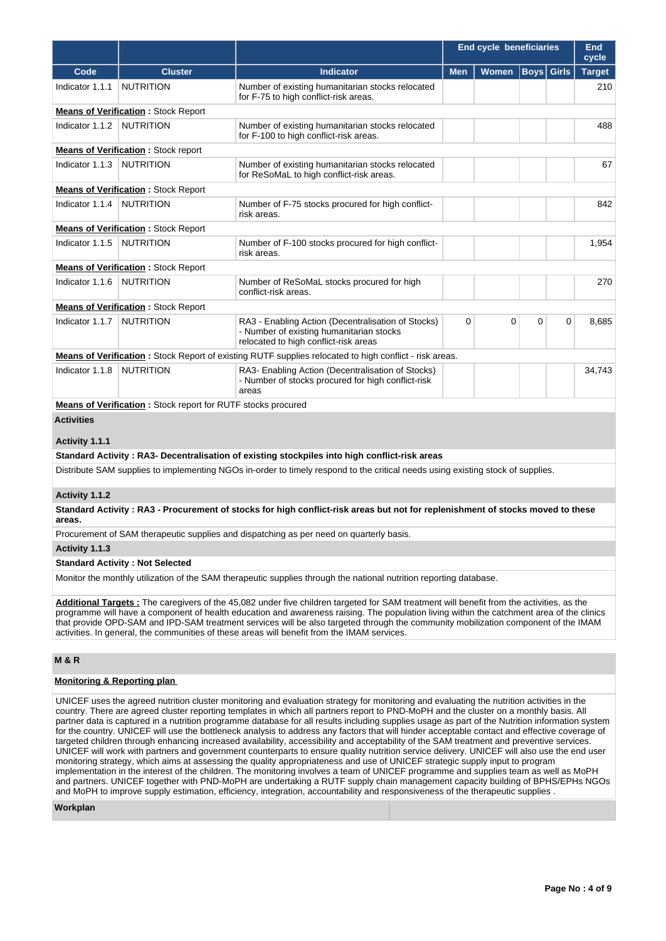|                   |                                                                     |                                                                                                                                         |            | End cycle beneficiaries |             |              | End<br>cycle  |
|-------------------|---------------------------------------------------------------------|-----------------------------------------------------------------------------------------------------------------------------------------|------------|-------------------------|-------------|--------------|---------------|
| Code              | <b>Cluster</b>                                                      | <b>Indicator</b>                                                                                                                        | <b>Men</b> | <b>Women</b>            | <b>Boys</b> | <b>Girls</b> | <b>Target</b> |
| Indicator 1.1.1   | <b>NUTRITION</b>                                                    | Number of existing humanitarian stocks relocated<br>for F-75 to high conflict-risk areas.                                               |            |                         |             |              | 210           |
|                   | <b>Means of Verification: Stock Report</b>                          |                                                                                                                                         |            |                         |             |              |               |
| Indicator 1.1.2   | <b>NUTRITION</b>                                                    | Number of existing humanitarian stocks relocated<br>for F-100 to high conflict-risk areas.                                              |            |                         |             |              | 488           |
|                   | <b>Means of Verification:</b> Stock report                          |                                                                                                                                         |            |                         |             |              |               |
| Indicator 1.1.3   | <b>NUTRITION</b>                                                    | Number of existing humanitarian stocks relocated<br>for ReSoMaL to high conflict-risk areas.                                            |            |                         |             |              | 67            |
|                   | <b>Means of Verification: Stock Report</b>                          |                                                                                                                                         |            |                         |             |              |               |
| Indicator 1.1.4   | <b>NUTRITION</b>                                                    | Number of F-75 stocks procured for high conflict-<br>risk areas.                                                                        |            |                         |             |              | 842           |
|                   | <b>Means of Verification: Stock Report</b>                          |                                                                                                                                         |            |                         |             |              |               |
| Indicator 1.1.5   | <b>NUTRITION</b>                                                    | Number of F-100 stocks procured for high conflict-<br>risk areas.                                                                       |            |                         |             |              | 1,954         |
|                   | <b>Means of Verification: Stock Report</b>                          |                                                                                                                                         |            |                         |             |              |               |
| Indicator 1.1.6   | <b>NUTRITION</b>                                                    | Number of ReSoMaL stocks procured for high<br>conflict-risk areas.                                                                      |            |                         |             |              | 270           |
|                   | <b>Means of Verification: Stock Report</b>                          |                                                                                                                                         |            |                         |             |              |               |
| Indicator 1.1.7   | <b>NUTRITION</b>                                                    | RA3 - Enabling Action (Decentralisation of Stocks)<br>- Number of existing humanitarian stocks<br>relocated to high conflict-risk areas | 0          | 0                       | $\mathbf 0$ | 0            | 8,685         |
|                   |                                                                     | <b>Means of Verification:</b> Stock Report of existing RUTF supplies relocated to high conflict - risk areas.                           |            |                         |             |              |               |
| Indicator 1.1.8   | <b>NUTRITION</b>                                                    | RA3- Enabling Action (Decentralisation of Stocks)<br>- Number of stocks procured for high conflict-risk<br>areas                        |            |                         |             |              | 34,743        |
|                   | <b>Means of Verification:</b> Stock report for RUTF stocks procured |                                                                                                                                         |            |                         |             |              |               |
| <b>Activities</b> |                                                                     |                                                                                                                                         |            |                         |             |              |               |
| Activity 1.1.1    |                                                                     |                                                                                                                                         |            |                         |             |              |               |
|                   |                                                                     | Standard Activity: RA3- Decentralisation of existing stockpiles into high conflict-risk areas                                           |            |                         |             |              |               |

Distribute SAM supplies to implementing NGOs in-order to timely respond to the critical needs using existing stock of supplies.

# **Activity 1.1.2**

**Standard Activity : RA3 - Procurement of stocks for high conflict-risk areas but not for replenishment of stocks moved to these areas.**

Procurement of SAM therapeutic supplies and dispatching as per need on quarterly basis.

#### **Activity 1.1.3**

# **Standard Activity : Not Selected**

Monitor the monthly utilization of the SAM therapeutic supplies through the national nutrition reporting database.

**Additional Targets :** The caregivers of the 45,082 under five children targeted for SAM treatment will benefit from the activities, as the programme will have a component of health education and awareness raising. The population living within the catchment area of the clinics that provide OPD-SAM and IPD-SAM treatment services will be also targeted through the community mobilization component of the IMAM activities. In general, the communities of these areas will benefit from the IMAM services.

# **M & R**

# **Monitoring & Reporting plan**

UNICEF uses the agreed nutrition cluster monitoring and evaluation strategy for monitoring and evaluating the nutrition activities in the country. There are agreed cluster reporting templates in which all partners report to PND-MoPH and the cluster on a monthly basis. All partner data is captured in a nutrition programme database for all results including supplies usage as part of the Nutrition information system for the country. UNICEF will use the bottleneck analysis to address any factors that will hinder acceptable contact and effective coverage of targeted children through enhancing increased availability, accessibility and acceptability of the SAM treatment and preventive services. UNICEF will work with partners and government counterparts to ensure quality nutrition service delivery. UNICEF will also use the end user monitoring strategy, which aims at assessing the quality appropriateness and use of UNICEF strategic supply input to program implementation in the interest of the children. The monitoring involves a team of UNICEF programme and supplies team as well as MoPH and partners. UNICEF together with PND-MoPH are undertaking a RUTF supply chain management capacity building of BPHS/EPHs NGOs and MoPH to improve supply estimation, efficiency, integration, accountability and responsiveness of the therapeutic supplies .

# **Workplan**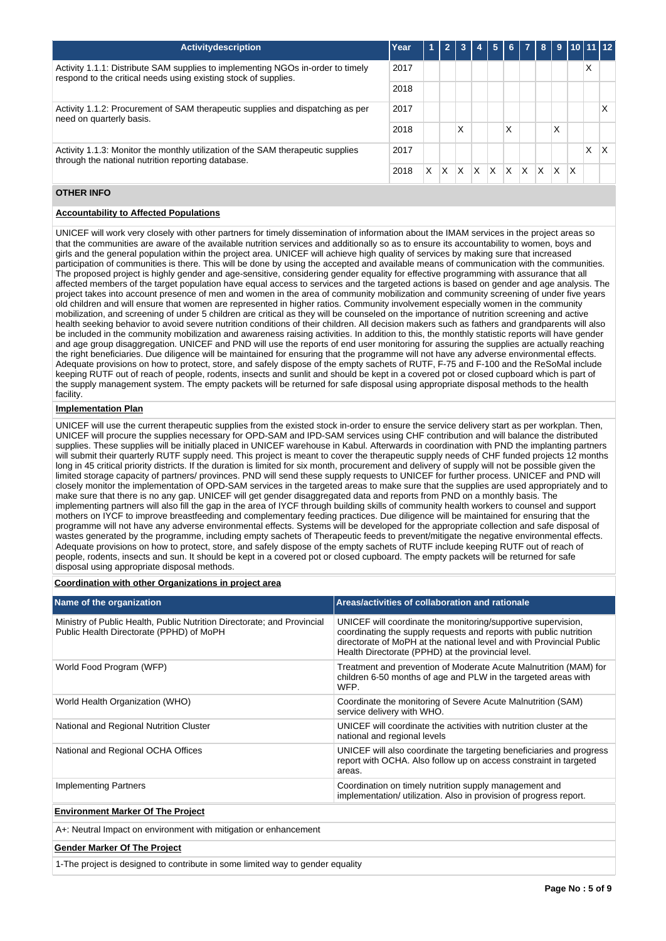| <b>Activitydescription</b>                                                                                                                         | Year |   | $\mathbf{z}$ | -3 |   | 5            | 6 <sup>1</sup> | $\overline{z}$ | -8  |          |              | $9$ 10 11 12 |   |
|----------------------------------------------------------------------------------------------------------------------------------------------------|------|---|--------------|----|---|--------------|----------------|----------------|-----|----------|--------------|--------------|---|
| Activity 1.1.1: Distribute SAM supplies to implementing NGOs in-order to timely<br>respond to the critical needs using existing stock of supplies. | 2017 |   |              |    |   |              |                |                |     |          |              | Χ            |   |
|                                                                                                                                                    |      |   |              |    |   |              |                |                |     |          |              |              |   |
| Activity 1.1.2: Procurement of SAM therapeutic supplies and dispatching as per<br>need on quarterly basis.                                         |      |   |              |    |   |              |                |                |     |          |              |              |   |
|                                                                                                                                                    |      |   |              | X  |   |              | X              |                |     | X        |              |              |   |
| Activity 1.1.3: Monitor the monthly utilization of the SAM therapeutic supplies<br>through the national nutrition reporting database.              | 2017 |   |              |    |   |              |                |                |     |          |              | X            | х |
|                                                                                                                                                    | 2018 | x | X            | X  | X | $\mathsf{x}$ | $\mathsf{x}$   | ΙX             | IX. | <b>X</b> | $\mathsf{X}$ |              |   |

# **OTHER INFO**

# **Accountability to Affected Populations**

UNICEF will work very closely with other partners for timely dissemination of information about the IMAM services in the project areas so that the communities are aware of the available nutrition services and additionally so as to ensure its accountability to women, boys and girls and the general population within the project area. UNICEF will achieve high quality of services by making sure that increased participation of communities is there. This will be done by using the accepted and available means of communication with the communities. The proposed project is highly gender and age-sensitive, considering gender equality for effective programming with assurance that all affected members of the target population have equal access to services and the targeted actions is based on gender and age analysis. The project takes into account presence of men and women in the area of community mobilization and community screening of under five years old children and will ensure that women are represented in higher ratios. Community involvement especially women in the community mobilization, and screening of under 5 children are critical as they will be counseled on the importance of nutrition screening and active health seeking behavior to avoid severe nutrition conditions of their children. All decision makers such as fathers and grandparents will also be included in the community mobilization and awareness raising activities. In addition to this, the monthly statistic reports will have gender and age group disaggregation. UNICEF and PND will use the reports of end user monitoring for assuring the supplies are actually reaching the right beneficiaries. Due diligence will be maintained for ensuring that the programme will not have any adverse environmental effects. Adequate provisions on how to protect, store, and safely dispose of the empty sachets of RUTF, F-75 and F-100 and the ReSoMal include keeping RUTF out of reach of people, rodents, insects and sunlit and should be kept in a covered pot or closed cupboard which is part of the supply management system. The empty packets will be returned for safe disposal using appropriate disposal methods to the health facility.

## **Implementation Plan**

UNICEF will use the current therapeutic supplies from the existed stock in-order to ensure the service delivery start as per workplan. Then, UNICEF will procure the supplies necessary for OPD-SAM and IPD-SAM services using CHF contribution and will balance the distributed supplies. These supplies will be initially placed in UNICEF warehouse in Kabul. Afterwards in coordination with PND the implanting partners will submit their quarterly RUTF supply need. This project is meant to cover the therapeutic supply needs of CHF funded projects 12 months long in 45 critical priority districts. If the duration is limited for six month, procurement and delivery of supply will not be possible given the limited storage capacity of partners/ provinces. PND will send these supply requests to UNICEF for further process. UNICEF and PND will closely monitor the implementation of OPD-SAM services in the targeted areas to make sure that the supplies are used appropriately and to make sure that there is no any gap. UNICEF will get gender disaggregated data and reports from PND on a monthly basis. The implementing partners will also fill the gap in the area of IYCF through building skills of community health workers to counsel and support mothers on IYCF to improve breastfeeding and complementary feeding practices. Due diligence will be maintained for ensuring that the programme will not have any adverse environmental effects. Systems will be developed for the appropriate collection and safe disposal of wastes generated by the programme, including empty sachets of Therapeutic feeds to prevent/mitigate the negative environmental effects. Adequate provisions on how to protect, store, and safely dispose of the empty sachets of RUTF include keeping RUTF out of reach of people, rodents, insects and sun. It should be kept in a covered pot or closed cupboard. The empty packets will be returned for safe disposal using appropriate disposal methods.

# **Coordination with other Organizations in project area**

| Name of the organization                                                                                            | Areas/activities of collaboration and rationale                                                                                                                                                                                                                   |
|---------------------------------------------------------------------------------------------------------------------|-------------------------------------------------------------------------------------------------------------------------------------------------------------------------------------------------------------------------------------------------------------------|
| Ministry of Public Health, Public Nutrition Directorate; and Provincial<br>Public Health Directorate (PPHD) of MoPH | UNICEF will coordinate the monitoring/supportive supervision,<br>coordinating the supply requests and reports with public nutrition<br>directorate of MoPH at the national level and with Provincial Public<br>Health Directorate (PPHD) at the provincial level. |
| World Food Program (WFP)                                                                                            | Treatment and prevention of Moderate Acute Malnutrition (MAM) for<br>children 6-50 months of age and PLW in the targeted areas with<br>WFP.                                                                                                                       |
| World Health Organization (WHO)                                                                                     | Coordinate the monitoring of Severe Acute Malnutrition (SAM)<br>service delivery with WHO.                                                                                                                                                                        |
| National and Regional Nutrition Cluster                                                                             | UNICEF will coordinate the activities with nutrition cluster at the<br>national and regional levels                                                                                                                                                               |
| National and Regional OCHA Offices                                                                                  | UNICEF will also coordinate the targeting beneficiaries and progress<br>report with OCHA. Also follow up on access constraint in targeted<br>areas.                                                                                                               |
| Implementing Partners                                                                                               | Coordination on timely nutrition supply management and<br>implementation/ utilization. Also in provision of progress report.                                                                                                                                      |
| <b>Environment Marker Of The Project</b>                                                                            |                                                                                                                                                                                                                                                                   |

A+: Neutral Impact on environment with mitigation or enhancement

#### **Gender Marker Of The Project**

1-The project is designed to contribute in some limited way to gender equality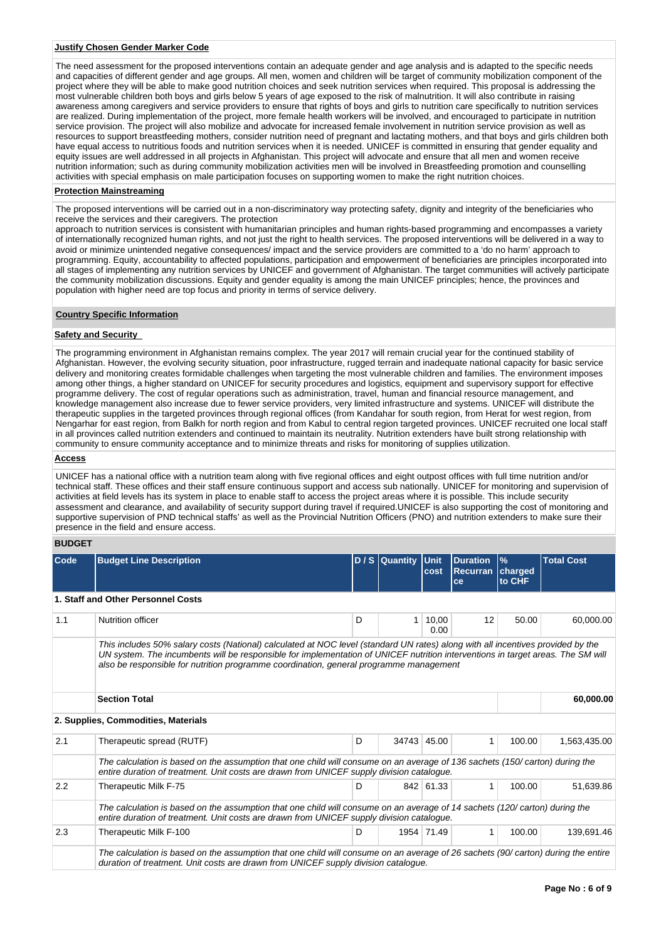## **Justify Chosen Gender Marker Code**

The need assessment for the proposed interventions contain an adequate gender and age analysis and is adapted to the specific needs and capacities of different gender and age groups. All men, women and children will be target of community mobilization component of the project where they will be able to make good nutrition choices and seek nutrition services when required. This proposal is addressing the most vulnerable children both boys and girls below 5 years of age exposed to the risk of malnutrition. It will also contribute in raising awareness among caregivers and service providers to ensure that rights of boys and girls to nutrition care specifically to nutrition services are realized. During implementation of the project, more female health workers will be involved, and encouraged to participate in nutrition service provision. The project will also mobilize and advocate for increased female involvement in nutrition service provision as well as resources to support breastfeeding mothers, consider nutrition need of pregnant and lactating mothers, and that boys and girls children both have equal access to nutritious foods and nutrition services when it is needed. UNICEF is committed in ensuring that gender equality and equity issues are well addressed in all projects in Afghanistan. This project will advocate and ensure that all men and women receive nutrition information; such as during community mobilization activities men will be involved in Breastfeeding promotion and counselling activities with special emphasis on male participation focuses on supporting women to make the right nutrition choices.

# **Protection Mainstreaming**

The proposed interventions will be carried out in a non-discriminatory way protecting safety, dignity and integrity of the beneficiaries who receive the services and their caregivers. The protection

approach to nutrition services is consistent with humanitarian principles and human rights-based programming and encompasses a variety of internationally recognized human rights, and not just the right to health services. The proposed interventions will be delivered in a way to avoid or minimize unintended negative consequences/ impact and the service providers are committed to a 'do no harm' approach to programming. Equity, accountability to affected populations, participation and empowerment of beneficiaries are principles incorporated into all stages of implementing any nutrition services by UNICEF and government of Afghanistan. The target communities will actively participate the community mobilization discussions. Equity and gender equality is among the main UNICEF principles; hence, the provinces and population with higher need are top focus and priority in terms of service delivery.

# **Country Specific Information**

# **Safety and Security**

The programming environment in Afghanistan remains complex. The year 2017 will remain crucial year for the continued stability of Afghanistan. However, the evolving security situation, poor infrastructure, rugged terrain and inadequate national capacity for basic service delivery and monitoring creates formidable challenges when targeting the most vulnerable children and families. The environment imposes among other things, a higher standard on UNICEF for security procedures and logistics, equipment and supervisory support for effective programme delivery. The cost of regular operations such as administration, travel, human and financial resource management, and knowledge management also increase due to fewer service providers, very limited infrastructure and systems. UNICEF will distribute the therapeutic supplies in the targeted provinces through regional offices (from Kandahar for south region, from Herat for west region, from Nengarhar for east region, from Balkh for north region and from Kabul to central region targeted provinces. UNICEF recruited one local staff in all provinces called nutrition extenders and continued to maintain its neutrality. Nutrition extenders have built strong relationship with community to ensure community acceptance and to minimize threats and risks for monitoring of supplies utilization.

# **Access**

UNICEF has a national office with a nutrition team along with five regional offices and eight outpost offices with full time nutrition and/or technical staff. These offices and their staff ensure continuous support and access sub nationally. UNICEF for monitoring and supervision of activities at field levels has its system in place to enable staff to access the project areas where it is possible. This include security assessment and clearance, and availability of security support during travel if required.UNICEF is also supporting the cost of monitoring and supportive supervision of PND technical staffs' as well as the Provincial Nutrition Officers (PNO) and nutrition extenders to make sure their presence in the field and ensure access.

# **BUDGET**

| Code | <b>Budget Line Description</b>                                                                                                                                                                                                                                                                                                                               |   | D / S Quantity Unit | cost          | <b>Duration</b><br>Recurran charged<br>ce | $\frac{9}{6}$<br>to CHF | <b>Total Cost</b> |  |  |  |  |
|------|--------------------------------------------------------------------------------------------------------------------------------------------------------------------------------------------------------------------------------------------------------------------------------------------------------------------------------------------------------------|---|---------------------|---------------|-------------------------------------------|-------------------------|-------------------|--|--|--|--|
|      | 1. Staff and Other Personnel Costs                                                                                                                                                                                                                                                                                                                           |   |                     |               |                                           |                         |                   |  |  |  |  |
| 1.1  | Nutrition officer                                                                                                                                                                                                                                                                                                                                            | D | 1 <sup>1</sup>      | 10,00<br>0.00 | 12                                        | 50.00                   | 60,000.00         |  |  |  |  |
|      | This includes 50% salary costs (National) calculated at NOC level (standard UN rates) along with all incentives provided by the<br>UN system. The incumbents will be responsible for implementation of UNICEF nutrition interventions in target areas. The SM will<br>also be responsible for nutrition programme coordination, general programme management |   |                     |               |                                           |                         |                   |  |  |  |  |
|      | <b>Section Total</b>                                                                                                                                                                                                                                                                                                                                         |   |                     |               |                                           |                         | 60,000.00         |  |  |  |  |
|      | 2. Supplies, Commodities, Materials                                                                                                                                                                                                                                                                                                                          |   |                     |               |                                           |                         |                   |  |  |  |  |
| 2.1  | Therapeutic spread (RUTF)                                                                                                                                                                                                                                                                                                                                    | D | 34743 45.00         |               | 1                                         | 100.00                  | 1,563,435.00      |  |  |  |  |
|      | The calculation is based on the assumption that one child will consume on an average of 136 sachets (150/carton) during the<br>entire duration of treatment. Unit costs are drawn from UNICEF supply division catalogue.                                                                                                                                     |   |                     |               |                                           |                         |                   |  |  |  |  |
| 2.2  | Therapeutic Milk F-75                                                                                                                                                                                                                                                                                                                                        | D |                     | 842 61.33     | 1                                         | 100.00                  | 51,639.86         |  |  |  |  |
|      | The calculation is based on the assumption that one child will consume on an average of 14 sachets (120/carton) during the<br>entire duration of treatment. Unit costs are drawn from UNICEF supply division catalogue.                                                                                                                                      |   |                     |               |                                           |                         |                   |  |  |  |  |
| 2.3  | Therapeutic Milk F-100                                                                                                                                                                                                                                                                                                                                       | D |                     | 1954 71.49    | 1                                         | 100.00                  | 139,691.46        |  |  |  |  |
|      | The calculation is based on the assumption that one child will consume on an average of 26 sachets (90/ carton) during the entire<br>duration of treatment. Unit costs are drawn from UNICEF supply division catalogue.                                                                                                                                      |   |                     |               |                                           |                         |                   |  |  |  |  |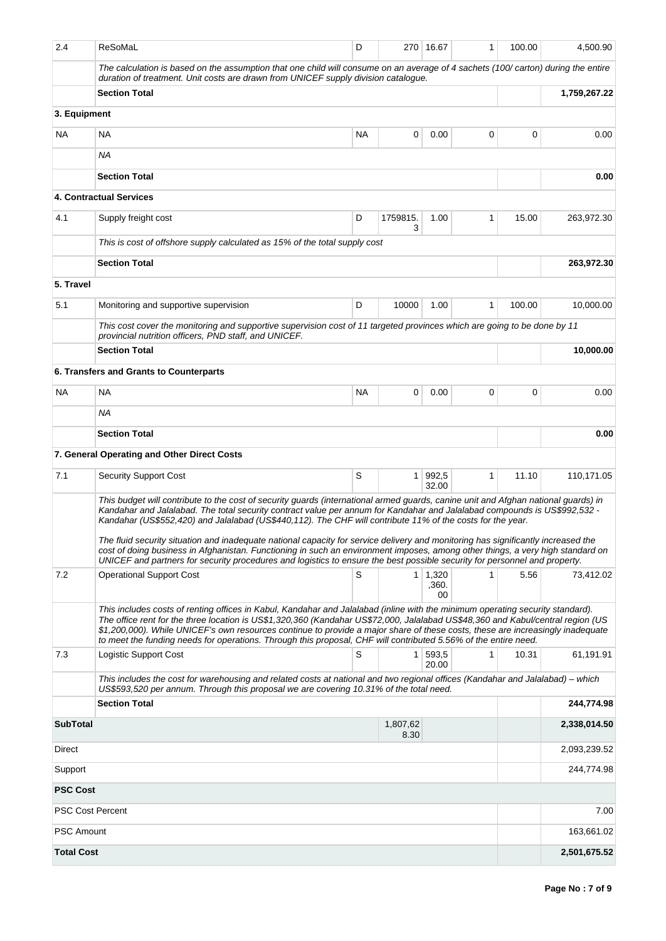| 2.4                     | ReSoMaL                                                                                                                                                                                                                                                                                                                                                                                                                                                                                                                                                                                                                                                                                                                                                                            | D         |                  | 270 16.67                     | 1 | 100.00 | 4,500.90     |
|-------------------------|------------------------------------------------------------------------------------------------------------------------------------------------------------------------------------------------------------------------------------------------------------------------------------------------------------------------------------------------------------------------------------------------------------------------------------------------------------------------------------------------------------------------------------------------------------------------------------------------------------------------------------------------------------------------------------------------------------------------------------------------------------------------------------|-----------|------------------|-------------------------------|---|--------|--------------|
|                         | The calculation is based on the assumption that one child will consume on an average of 4 sachets (100/carton) during the entire<br>duration of treatment. Unit costs are drawn from UNICEF supply division catalogue.                                                                                                                                                                                                                                                                                                                                                                                                                                                                                                                                                             |           |                  |                               |   |        |              |
|                         | <b>Section Total</b>                                                                                                                                                                                                                                                                                                                                                                                                                                                                                                                                                                                                                                                                                                                                                               |           |                  |                               |   |        |              |
| 3. Equipment            |                                                                                                                                                                                                                                                                                                                                                                                                                                                                                                                                                                                                                                                                                                                                                                                    |           |                  |                               |   |        |              |
| NA.                     | ΝA                                                                                                                                                                                                                                                                                                                                                                                                                                                                                                                                                                                                                                                                                                                                                                                 | <b>NA</b> | 0                | 0.00                          | 0 | 0      | 0.00         |
|                         | ΝA                                                                                                                                                                                                                                                                                                                                                                                                                                                                                                                                                                                                                                                                                                                                                                                 |           |                  |                               |   |        |              |
|                         | <b>Section Total</b>                                                                                                                                                                                                                                                                                                                                                                                                                                                                                                                                                                                                                                                                                                                                                               |           |                  |                               |   |        | 0.00         |
|                         | <b>4. Contractual Services</b>                                                                                                                                                                                                                                                                                                                                                                                                                                                                                                                                                                                                                                                                                                                                                     |           |                  |                               |   |        |              |
| 4.1                     | Supply freight cost                                                                                                                                                                                                                                                                                                                                                                                                                                                                                                                                                                                                                                                                                                                                                                | D         | 1759815.<br>3    | 1.00                          | 1 | 15.00  | 263,972.30   |
|                         | This is cost of offshore supply calculated as 15% of the total supply cost                                                                                                                                                                                                                                                                                                                                                                                                                                                                                                                                                                                                                                                                                                         |           |                  |                               |   |        |              |
|                         | <b>Section Total</b>                                                                                                                                                                                                                                                                                                                                                                                                                                                                                                                                                                                                                                                                                                                                                               |           |                  |                               |   |        | 263,972.30   |
| 5. Travel               |                                                                                                                                                                                                                                                                                                                                                                                                                                                                                                                                                                                                                                                                                                                                                                                    |           |                  |                               |   |        |              |
| 5.1                     | Monitoring and supportive supervision                                                                                                                                                                                                                                                                                                                                                                                                                                                                                                                                                                                                                                                                                                                                              | D         | 10000            | 1.00                          | 1 | 100.00 | 10,000.00    |
|                         | This cost cover the monitoring and supportive supervision cost of 11 targeted provinces which are going to be done by 11<br>provincial nutrition officers, PND staff, and UNICEF.                                                                                                                                                                                                                                                                                                                                                                                                                                                                                                                                                                                                  |           |                  |                               |   |        |              |
|                         | <b>Section Total</b>                                                                                                                                                                                                                                                                                                                                                                                                                                                                                                                                                                                                                                                                                                                                                               |           |                  |                               |   |        | 10,000.00    |
|                         | 6. Transfers and Grants to Counterparts                                                                                                                                                                                                                                                                                                                                                                                                                                                                                                                                                                                                                                                                                                                                            |           |                  |                               |   |        |              |
| NA                      | ΝA                                                                                                                                                                                                                                                                                                                                                                                                                                                                                                                                                                                                                                                                                                                                                                                 | NA        | 0                | 0.00                          | 0 | 0      | 0.00         |
|                         | ΝA                                                                                                                                                                                                                                                                                                                                                                                                                                                                                                                                                                                                                                                                                                                                                                                 |           |                  |                               |   |        |              |
|                         | <b>Section Total</b>                                                                                                                                                                                                                                                                                                                                                                                                                                                                                                                                                                                                                                                                                                                                                               |           |                  |                               |   |        | 0.00         |
|                         | 7. General Operating and Other Direct Costs                                                                                                                                                                                                                                                                                                                                                                                                                                                                                                                                                                                                                                                                                                                                        |           |                  |                               |   |        |              |
| 7.1                     | <b>Security Support Cost</b>                                                                                                                                                                                                                                                                                                                                                                                                                                                                                                                                                                                                                                                                                                                                                       | S         | $\mathbf{1}$     | 992,5<br>32.00                | 1 | 11.10  | 110,171.05   |
|                         | This budget will contribute to the cost of security guards (international armed guards, canine unit and Afghan national guards) in<br>Kandahar and Jalalabad. The total security contract value per annum for Kandahar and Jalalabad compounds is US\$992,532 -<br>Kandahar (US\$552,420) and Jalalabad (US\$440,112). The CHF will contribute 11% of the costs for the year.<br>The fluid security situation and inadequate national capacity for service delivery and monitoring has significantly increased the<br>cost of doing business in Afghanistan. Functioning in such an environment imposes, among other things, a very high standard on<br>UNICEF and partners for security procedures and logistics to ensure the best possible security for personnel and property. |           |                  |                               |   |        |              |
| 7.2                     | <b>Operational Support Cost</b>                                                                                                                                                                                                                                                                                                                                                                                                                                                                                                                                                                                                                                                                                                                                                    | S         |                  | $1 \mid 1,320$<br>,360.<br>00 | 1 | 5.56   | 73,412.02    |
|                         | This includes costs of renting offices in Kabul, Kandahar and Jalalabad (inline with the minimum operating security standard).<br>The office rent for the three location is US\$1,320,360 (Kandahar US\$72,000, Jalalabad US\$48,360 and Kabul/central region (US<br>\$1,200,000). While UNICEF's own resources continue to provide a major share of these costs, these are increasingly inadequate<br>to meet the funding needs for operations. Through this proposal, CHF will contributed 5.56% of the entire need.                                                                                                                                                                                                                                                             |           |                  |                               |   |        |              |
| 7.3                     | Logistic Support Cost                                                                                                                                                                                                                                                                                                                                                                                                                                                                                                                                                                                                                                                                                                                                                              | S         | 1                | 593,5<br>20.00                | 1 | 10.31  | 61,191.91    |
|                         | This includes the cost for warehousing and related costs at national and two regional offices (Kandahar and Jalalabad) – which<br>US\$593,520 per annum. Through this proposal we are covering 10.31% of the total need.                                                                                                                                                                                                                                                                                                                                                                                                                                                                                                                                                           |           |                  |                               |   |        |              |
|                         | <b>Section Total</b>                                                                                                                                                                                                                                                                                                                                                                                                                                                                                                                                                                                                                                                                                                                                                               |           |                  |                               |   |        | 244,774.98   |
| <b>SubTotal</b>         |                                                                                                                                                                                                                                                                                                                                                                                                                                                                                                                                                                                                                                                                                                                                                                                    |           | 1,807,62<br>8.30 |                               |   |        | 2,338,014.50 |
| Direct                  |                                                                                                                                                                                                                                                                                                                                                                                                                                                                                                                                                                                                                                                                                                                                                                                    |           |                  |                               |   |        | 2,093,239.52 |
| Support                 |                                                                                                                                                                                                                                                                                                                                                                                                                                                                                                                                                                                                                                                                                                                                                                                    |           |                  |                               |   |        | 244,774.98   |
| <b>PSC Cost</b>         |                                                                                                                                                                                                                                                                                                                                                                                                                                                                                                                                                                                                                                                                                                                                                                                    |           |                  |                               |   |        |              |
| <b>PSC Cost Percent</b> |                                                                                                                                                                                                                                                                                                                                                                                                                                                                                                                                                                                                                                                                                                                                                                                    |           |                  |                               |   |        | 7.00         |
| <b>PSC Amount</b>       |                                                                                                                                                                                                                                                                                                                                                                                                                                                                                                                                                                                                                                                                                                                                                                                    |           |                  |                               |   |        | 163,661.02   |
| <b>Total Cost</b>       |                                                                                                                                                                                                                                                                                                                                                                                                                                                                                                                                                                                                                                                                                                                                                                                    |           |                  |                               |   |        | 2,501,675.52 |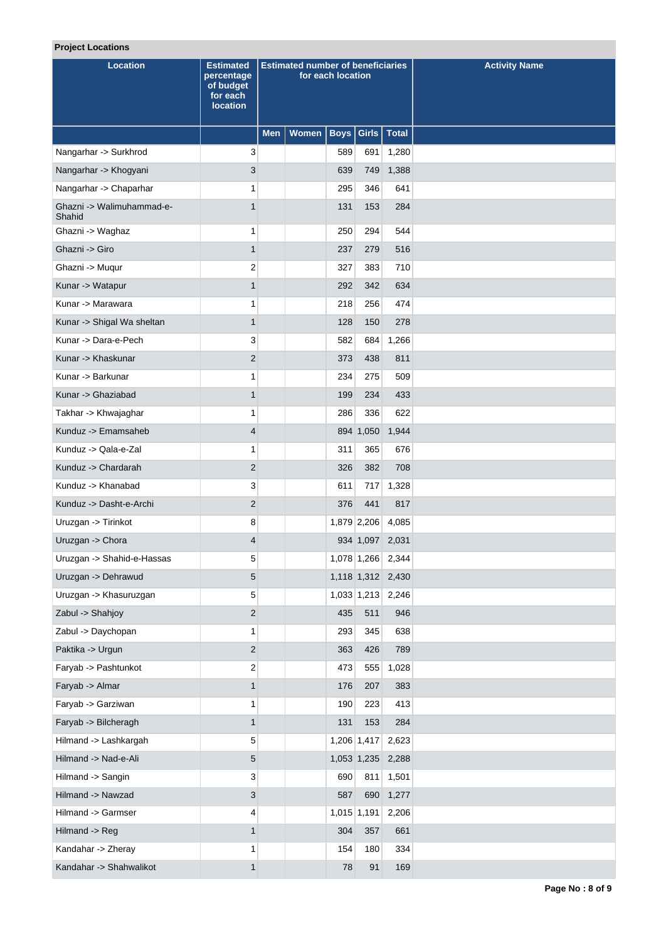# **Project Locations**

| <b>Location</b>                     | <b>Estimated</b><br>percentage<br>of budget<br>for each<br><b>location</b> | <b>Estimated number of beneficiaries</b><br>for each location |              |     |                 |                   | <b>Activity Name</b> |
|-------------------------------------|----------------------------------------------------------------------------|---------------------------------------------------------------|--------------|-----|-----------------|-------------------|----------------------|
|                                     |                                                                            | <b>Men</b>                                                    | <b>Women</b> |     |                 | Boys Girls Total  |                      |
| Nangarhar -> Surkhrod               | 3                                                                          |                                                               |              | 589 | 691             | 1,280             |                      |
| Nangarhar -> Khogyani               | 3                                                                          |                                                               |              | 639 |                 | 749 1,388         |                      |
| Nangarhar -> Chaparhar              | 1                                                                          |                                                               |              | 295 | 346             | 641               |                      |
| Ghazni -> Walimuhammad-e-<br>Shahid | $\mathbf{1}$                                                               |                                                               |              | 131 | 153             | 284               |                      |
| Ghazni -> Waghaz                    | $\mathbf{1}$                                                               |                                                               |              | 250 | 294             | 544               |                      |
| Ghazni -> Giro                      | $\mathbf{1}$                                                               |                                                               |              | 237 | 279             | 516               |                      |
| Ghazni -> Muqur                     | $\overline{\mathbf{c}}$                                                    |                                                               |              | 327 | 383             | 710               |                      |
| Kunar -> Watapur                    | $\mathbf{1}$                                                               |                                                               |              | 292 | 342             | 634               |                      |
| Kunar -> Marawara                   | 1                                                                          |                                                               |              | 218 | 256             | 474               |                      |
| Kunar -> Shigal Wa sheltan          | $\mathbf{1}$                                                               |                                                               |              | 128 | 150             | 278               |                      |
| Kunar -> Dara-e-Pech                | 3                                                                          |                                                               |              | 582 | 684             | 1,266             |                      |
| Kunar -> Khaskunar                  | $\overline{2}$                                                             |                                                               |              | 373 | 438             | 811               |                      |
| Kunar -> Barkunar                   | 1                                                                          |                                                               |              | 234 | 275             | 509               |                      |
| Kunar -> Ghaziabad                  | $\mathbf{1}$                                                               |                                                               |              | 199 | 234             | 433               |                      |
| Takhar -> Khwajaghar                | 1                                                                          |                                                               |              | 286 | 336             | 622               |                      |
| Kunduz -> Emamsaheb                 | 4                                                                          |                                                               |              |     | 894 1,050       | 1,944             |                      |
| Kunduz -> Qala-e-Zal                | $\mathbf{1}$                                                               |                                                               |              | 311 | 365             | 676               |                      |
| Kunduz -> Chardarah                 | $\overline{2}$                                                             |                                                               |              | 326 | 382             | 708               |                      |
| Kunduz -> Khanabad                  | 3                                                                          |                                                               |              | 611 | 717             | 1,328             |                      |
| Kunduz -> Dasht-e-Archi             | $\overline{2}$                                                             |                                                               |              | 376 | 441             | 817               |                      |
| Uruzgan -> Tirinkot                 | 8                                                                          |                                                               |              |     | 1,879 2,206     | 4,085             |                      |
| Uruzgan -> Chora                    | $\overline{4}$                                                             |                                                               |              |     | 934 1,097 2,031 |                   |                      |
| Uruzgan -> Shahid-e-Hassas          | 5                                                                          |                                                               |              |     | 1,078 1,266     | 2,344             |                      |
| Uruzgan -> Dehrawud                 | 5                                                                          |                                                               |              |     |                 | 1,118 1,312 2,430 |                      |
| Uruzgan -> Khasuruzgan              | 5                                                                          |                                                               |              |     |                 | 1,033 1,213 2,246 |                      |
| Zabul -> Shahjoy                    | $\overline{\mathbf{c}}$                                                    |                                                               |              | 435 | 511             | 946               |                      |
| Zabul -> Daychopan                  | $\mathbf{1}$                                                               |                                                               |              | 293 | 345             | 638               |                      |
| Paktika -> Urgun                    | $\overline{2}$                                                             |                                                               |              | 363 | 426             | 789               |                      |
| Faryab -> Pashtunkot                | 2                                                                          |                                                               |              | 473 | 555             | 1,028             |                      |
| Faryab -> Almar                     | $\mathbf{1}$                                                               |                                                               |              | 176 | 207             | 383               |                      |
| Faryab -> Garziwan                  | 1                                                                          |                                                               |              | 190 | 223             | 413               |                      |
| Faryab -> Bilcheragh                | $\mathbf{1}$                                                               |                                                               |              | 131 | 153             | 284               |                      |
| Hilmand -> Lashkargah               | 5                                                                          |                                                               |              |     | 1,206 1,417     | 2,623             |                      |
| Hilmand -> Nad-e-Ali                | 5                                                                          |                                                               |              |     |                 | 1,053 1,235 2,288 |                      |
| Hilmand -> Sangin                   | 3                                                                          |                                                               |              | 690 | 811             | 1,501             |                      |
| Hilmand -> Nawzad                   | 3                                                                          |                                                               |              | 587 | 690             | 1,277             |                      |
| Hilmand -> Garmser                  | 4                                                                          |                                                               |              |     | 1,015 1,191     | 2,206             |                      |
| Hilmand -> Reg                      | $\mathbf{1}$                                                               |                                                               |              | 304 | 357             | 661               |                      |
| Kandahar -> Zheray                  | 1                                                                          |                                                               |              | 154 | 180             | 334               |                      |
| Kandahar -> Shahwalikot             | $\mathbf{1}$                                                               |                                                               |              | 78  | 91              | 169               |                      |